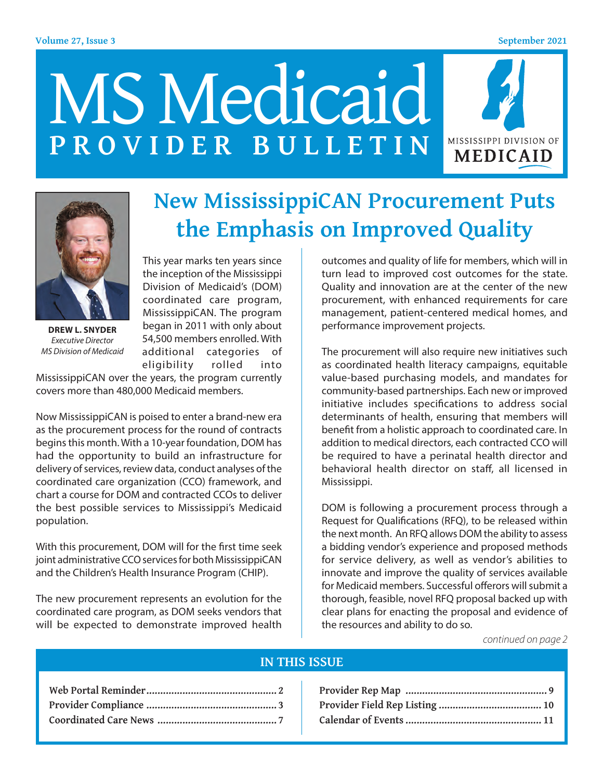#### **Volume 27, Issue 3 September 2021**







**DREW L. SNYDER** *Executive Director MS Division of Medicaid*

This year marks ten years since the inception of the Mississippi Division of Medicaid's (DOM) coordinated care program, MississippiCAN. The program began in 2011 with only about 54,500 members enrolled. With additional categories of eligibility rolled into

MississippiCAN over the years, the program currently covers more than 480,000 Medicaid members.

Now MississippiCAN is poised to enter a brand-new era as the procurement process for the round of contracts begins this month. With a 10-year foundation, DOM has had the opportunity to build an infrastructure for delivery of services, review data, conduct analyses of the coordinated care organization (CCO) framework, and chart a course for DOM and contracted CCOs to deliver the best possible services to Mississippi's Medicaid population.

With this procurement, DOM will for the first time seek joint administrative CCO services for both MississippiCAN and the Children's Health Insurance Program (CHIP).

The new procurement represents an evolution for the coordinated care program, as DOM seeks vendors that will be expected to demonstrate improved health

**the Emphasis on Improved Quality** outcomes and quality of life for members, which will in

**New MississippiCAN Procurement Puts** 

turn lead to improved cost outcomes for the state. Quality and innovation are at the center of the new procurement, with enhanced requirements for care management, patient-centered medical homes, and performance improvement projects.

The procurement will also require new initiatives such as coordinated health literacy campaigns, equitable value-based purchasing models, and mandates for community-based partnerships. Each new or improved initiative includes specifications to address social determinants of health, ensuring that members will benefit from a holistic approach to coordinated care. In addition to medical directors, each contracted CCO will be required to have a perinatal health director and behavioral health director on staff, all licensed in Mississippi.

DOM is following a procurement process through a Request for Qualifications (RFQ), to be released within the next month. An RFQ allows DOM the ability to assess a bidding vendor's experience and proposed methods for service delivery, as well as vendor's abilities to innovate and improve the quality of services available for Medicaid members. Successful offerors will submit a thorough, feasible, novel RFQ proposal backed up with clear plans for enacting the proposal and evidence of the resources and ability to do so.

*continued on page 2*

#### **IN THIS ISSUE**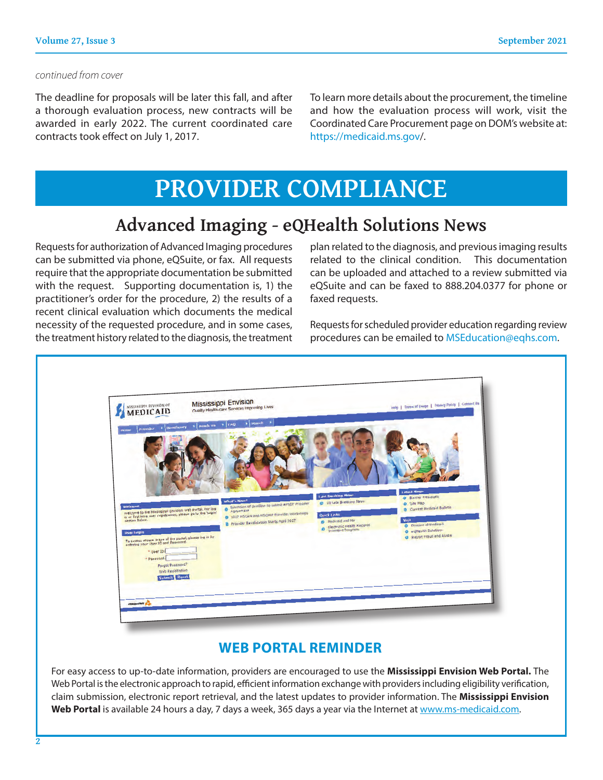#### *continued from cover*

The deadline for proposals will be later this fall, and after a thorough evaluation process, new contracts will be awarded in early 2022. The current coordinated care contracts took effect on July 1, 2017.

To learn more details about the procurement, the timeline and how the evaluation process will work, visit the Coordinated Care Procurement page on DOM's website at: https://medicaid.ms.gov/.

# **PROVIDER COMPLIANCE**

### **Advanced Imaging - eQHealth Solutions News**

Requests for authorization of Advanced Imaging procedures can be submitted via phone, eQSuite, or fax. All requests require that the appropriate documentation be submitted with the request. Supporting documentation is, 1) the practitioner's order for the procedure, 2) the results of a recent clinical evaluation which documents the medical necessity of the requested procedure, and in some cases, the treatment history related to the diagnosis, the treatment plan related to the diagnosis, and previous imaging results related to the clinical condition. This documentation can be uploaded and attached to a review submitted via eQSuite and can be faxed to 888.204.0377 for phone or faxed requests.

Requests for scheduled provider education regarding review procedures can be emailed to MSEducation@eqhs.com.



### **WEB PORTAL REMINDER**

For easy access to up-to-date information, providers are encouraged to use the **Mississippi Envision Web Portal.** The Web Portal is the electronic approach to rapid, efficient information exchange with providers including eligibility verification, claim submission, electronic report retrieval, and the latest updates to provider information. The **Mississippi Envision**  Web Portal is available 24 hours a day, 7 days a week, 365 days a year via the Internet at www.ms-medicaid.com.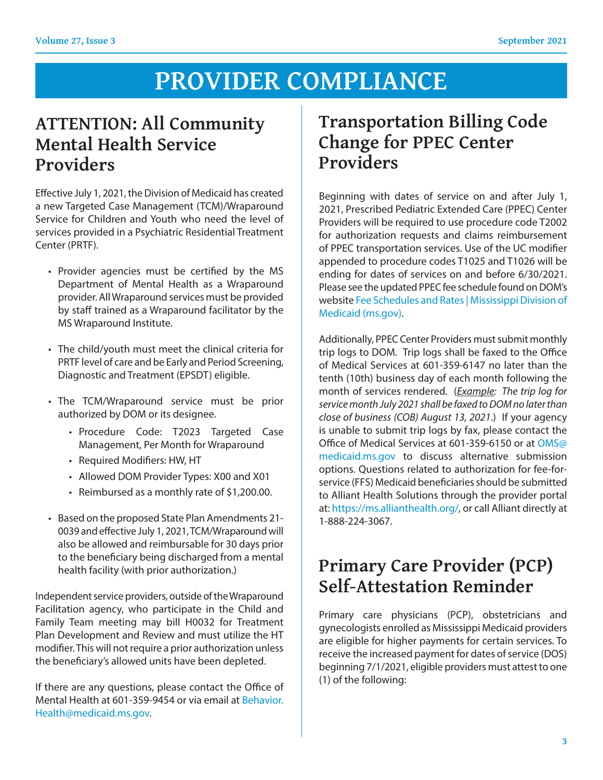# **PROVIDER COMPLIANCE**

### **ATTENTION: All Community Mental Health Service Providers**

Effective July 1, 2021, the Division of Medicaid has created a new Targeted Case Management (TCM)/Wraparound Service for Children and Youth who need the level of services provided in a Psychiatric Residential Treatment Center (PRTF).

- Provider agencies must be certified by the MS Department of Mental Health as a Wraparound provider. All Wraparound services must be provided by staff trained as a Wraparound facilitator by the MS Wraparound Institute.
- The child/youth must meet the clinical criteria for PRTF level of care and be Early and Period Screening, Diagnostic and Treatment (EPSDT) eligible.
- The TCM/Wraparound service must be prior authorized by DOM or its designee.
	- Procedure Code: T2023 Targeted Case Management, Per Month for Wraparound
	- Required Modifiers: HW, HT
	- Allowed DOM Provider Types: X00 and X01
	- Reimbursed as a monthly rate of \$1,200.00.
- Based on the proposed State Plan Amendments 21- 0039 and effective July 1, 2021, TCM/Wraparound will also be allowed and reimbursable for 30 days prior to the beneficiary being discharged from a mental health facility (with prior authorization.)

Independent service providers, outside of the Wraparound Facilitation agency, who participate in the Child and Family Team meeting may bill H0032 for Treatment Plan Development and Review and must utilize the HT modifier. This will not require a prior authorization unless the beneficiary's allowed units have been depleted.

If there are any questions, please contact the Office of Mental Health at 601-359-9454 or via email at Behavior. Health@medicaid.ms.gov.

### **Transportation Billing Code Change for PPEC Center Providers**

Beginning with dates of service on and after July 1, 2021, Prescribed Pediatric Extended Care (PPEC) Center Providers will be required to use procedure code T2002 for authorization requests and claims reimbursement of PPEC transportation services. Use of the UC modifier appended to procedure codes T1025 and T1026 will be ending for dates of services on and before 6/30/2021. Please see the updated PPEC fee schedule found on DOM's website Fee Schedules and Rates | Mississippi Division of Medicaid (ms.gov).

Additionally, PPEC Center Providers must submit monthly trip logs to DOM. Trip logs shall be faxed to the Office of Medical Services at 601-359-6147 no later than the tenth (10th) business day of each month following the month of services rendered. (*Example: The trip log for service month July 2021 shall be faxed to DOM no later than close of business (COB) August 13, 2021*.) If your agency is unable to submit trip logs by fax, please contact the Office of Medical Services at 601-359-6150 or at OMS@ medicaid.ms.gov to discuss alternative submission options. Questions related to authorization for fee-forservice (FFS) Medicaid beneficiaries should be submitted to Alliant Health Solutions through the provider portal at: https://ms.allianthealth.org/, or call Alliant directly at 1-888-224-3067.

### **Primary Care Provider (PCP) Self-Attestation Reminder**

Primary care physicians (PCP), obstetricians and gynecologists enrolled as Mississippi Medicaid providers are eligible for higher payments for certain services. To receive the increased payment for dates of service (DOS) beginning 7/1/2021, eligible providers must attest to one (1) of the following: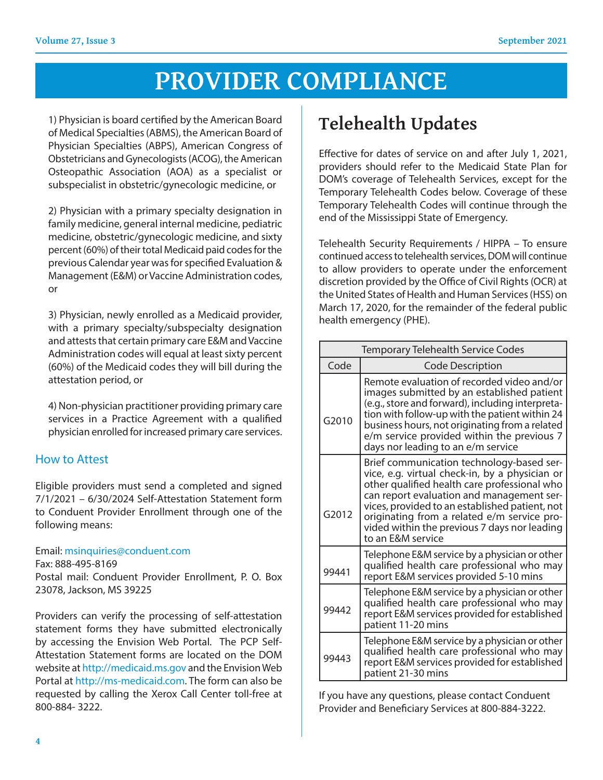# **PROVIDER COMPLIANCE**

 1) Physician is board certified by the American Board of Medical Specialties (ABMS), the American Board of Physician Specialties (ABPS), American Congress of Obstetricians and Gynecologists (ACOG), the American Osteopathic Association (AOA) as a specialist or subspecialist in obstetric/gynecologic medicine, or

2) Physician with a primary specialty designation in family medicine, general internal medicine, pediatric medicine, obstetric/gynecologic medicine, and sixty percent (60%) of their total Medicaid paid codes for the previous Calendar year was for specified Evaluation & Management (E&M) or Vaccine Administration codes, or

3) Physician, newly enrolled as a Medicaid provider, with a primary specialty/subspecialty designation and attests that certain primary care E&M and Vaccine Administration codes will equal at least sixty percent (60%) of the Medicaid codes they will bill during the attestation period, or

 4) Non-physician practitioner providing primary care services in a Practice Agreement with a qualified physician enrolled for increased primary care services.

### How to Attest

Eligible providers must send a completed and signed 7/1/2021 – 6/30/2024 Self-Attestation Statement form to Conduent Provider Enrollment through one of the following means:

#### Email: msinquiries@conduent.com

Fax: 888-495-8169

Postal mail: Conduent Provider Enrollment, P. O. Box 23078, Jackson, MS 39225

Providers can verify the processing of self-attestation statement forms they have submitted electronically by accessing the Envision Web Portal. The PCP Self-Attestation Statement forms are located on the DOM website at http://medicaid.ms.gov and the Envision Web Portal at http://ms-medicaid.com. The form can also be requested by calling the Xerox Call Center toll-free at 800-884- 3222.

## **Telehealth Updates**

Effective for dates of service on and after July 1, 2021, providers should refer to the Medicaid State Plan for DOM's coverage of Telehealth Services, except for the Temporary Telehealth Codes below. Coverage of these Temporary Telehealth Codes will continue through the end of the Mississippi State of Emergency.

Telehealth Security Requirements / HIPPA – To ensure continued access to telehealth services, DOM will continue to allow providers to operate under the enforcement discretion provided by the Office of Civil Rights (OCR) at the United States of Health and Human Services (HSS) on March 17, 2020, for the remainder of the federal public health emergency (PHE).

| <b>Temporary Telehealth Service Codes</b> |                                                                                                                                                                                                                                                                                                                                                                |
|-------------------------------------------|----------------------------------------------------------------------------------------------------------------------------------------------------------------------------------------------------------------------------------------------------------------------------------------------------------------------------------------------------------------|
| Code                                      | <b>Code Description</b>                                                                                                                                                                                                                                                                                                                                        |
| G2010                                     | Remote evaluation of recorded video and/or<br>images submitted by an established patient<br>(e.g., store and forward), including interpreta-<br>tion with follow-up with the patient within 24<br>business hours, not originating from a related<br>e/m service provided within the previous 7<br>days nor leading to an e/m service                           |
| G2012                                     | Brief communication technology-based ser-<br>vice, e.g. virtual check-in, by a physician or<br>other qualified health care professional who<br>can report evaluation and management ser-<br>vices, provided to an established patient, not<br>originating from a related e/m service pro-<br>vided within the previous 7 days nor leading<br>to an E&M service |
| 99441                                     | Telephone E&M service by a physician or other<br>qualified health care professional who may<br>report E&M services provided 5-10 mins                                                                                                                                                                                                                          |
| 99442                                     | Telephone E&M service by a physician or other<br>qualified health care professional who may<br>report E&M services provided for established<br>patient 11-20 mins                                                                                                                                                                                              |
| 99443                                     | Telephone E&M service by a physician or other<br>qualified health care professional who may<br>report E&M services provided for established<br>patient 21-30 mins                                                                                                                                                                                              |

If you have any questions, please contact Conduent Provider and Beneficiary Services at 800-884-3222.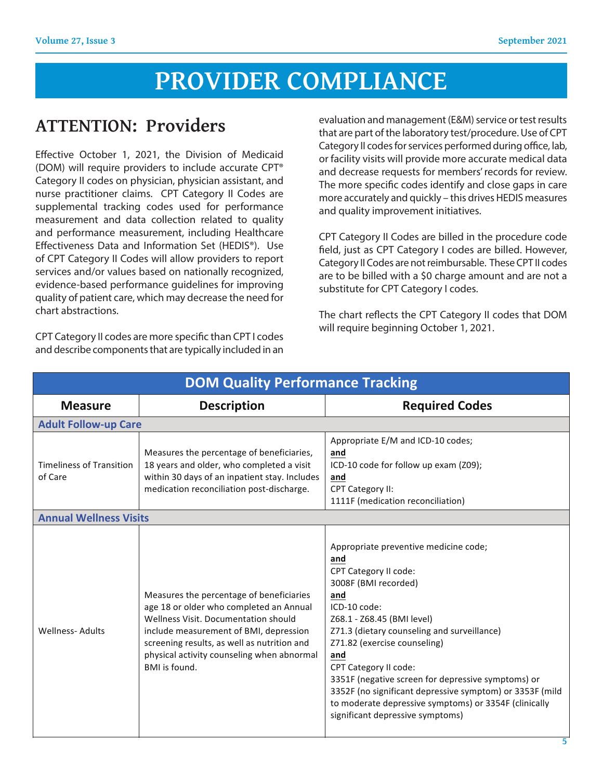# **PROVIDER COMPLIANCE**

### **ATTENTION: Providers**

Effective October 1, 2021, the Division of Medicaid (DOM) will require providers to include accurate CPT® Category II codes on physician, physician assistant, and nurse practitioner claims. CPT Category II Codes are supplemental tracking codes used for performance measurement and data collection related to quality and performance measurement, including Healthcare Effectiveness Data and Information Set (HEDIS®). Use of CPT Category II Codes will allow providers to report services and/or values based on nationally recognized, evidence-based performance guidelines for improving quality of patient care, which may decrease the need for chart abstractions.

CPT Category II codes are more specific than CPT I codes and describe components that are typically included in an evaluation and management (E&M) service or test results that are part of the laboratory test/procedure. Use of CPT Category II codes for services performed during office, lab, or facility visits will provide more accurate medical data and decrease requests for members' records for review. The more specific codes identify and close gaps in care more accurately and quickly – this drives HEDIS measures and quality improvement initiatives.

CPT Category II Codes are billed in the procedure code field, just as CPT Category I codes are billed. However, Category II Codes are not reimbursable. These CPT II codes are to be billed with a \$0 charge amount and are not a substitute for CPT Category I codes.

The chart reflects the CPT Category II codes that DOM will require beginning October 1, 2021.

| <b>DOM Quality Performance Tracking</b>    |                                                                                                                                                                                                                                                                                     |                                                                                                                                                                                                                                                                                                                                                                                                                                                                                  |
|--------------------------------------------|-------------------------------------------------------------------------------------------------------------------------------------------------------------------------------------------------------------------------------------------------------------------------------------|----------------------------------------------------------------------------------------------------------------------------------------------------------------------------------------------------------------------------------------------------------------------------------------------------------------------------------------------------------------------------------------------------------------------------------------------------------------------------------|
| <b>Measure</b>                             | <b>Description</b>                                                                                                                                                                                                                                                                  | <b>Required Codes</b>                                                                                                                                                                                                                                                                                                                                                                                                                                                            |
| <b>Adult Follow-up Care</b>                |                                                                                                                                                                                                                                                                                     |                                                                                                                                                                                                                                                                                                                                                                                                                                                                                  |
| <b>Timeliness of Transition</b><br>of Care | Measures the percentage of beneficiaries,<br>18 years and older, who completed a visit<br>within 30 days of an inpatient stay. Includes<br>medication reconciliation post-discharge.                                                                                                | Appropriate E/M and ICD-10 codes;<br>and<br>ICD-10 code for follow up exam (Z09);<br>and<br><b>CPT Category II:</b><br>1111F (medication reconciliation)                                                                                                                                                                                                                                                                                                                         |
| <b>Annual Wellness Visits</b>              |                                                                                                                                                                                                                                                                                     |                                                                                                                                                                                                                                                                                                                                                                                                                                                                                  |
| <b>Wellness-Adults</b>                     | Measures the percentage of beneficiaries<br>age 18 or older who completed an Annual<br>Wellness Visit. Documentation should<br>include measurement of BMI, depression<br>screening results, as well as nutrition and<br>physical activity counseling when abnormal<br>BMI is found. | Appropriate preventive medicine code;<br>and<br>CPT Category II code:<br>3008F (BMI recorded)<br>and<br>ICD-10 code:<br>Z68.1 - Z68.45 (BMI level)<br>Z71.3 (dietary counseling and surveillance)<br>Z71.82 (exercise counseling)<br>and<br>CPT Category II code:<br>3351F (negative screen for depressive symptoms) or<br>3352F (no significant depressive symptom) or 3353F (mild<br>to moderate depressive symptoms) or 3354F (clinically<br>significant depressive symptoms) |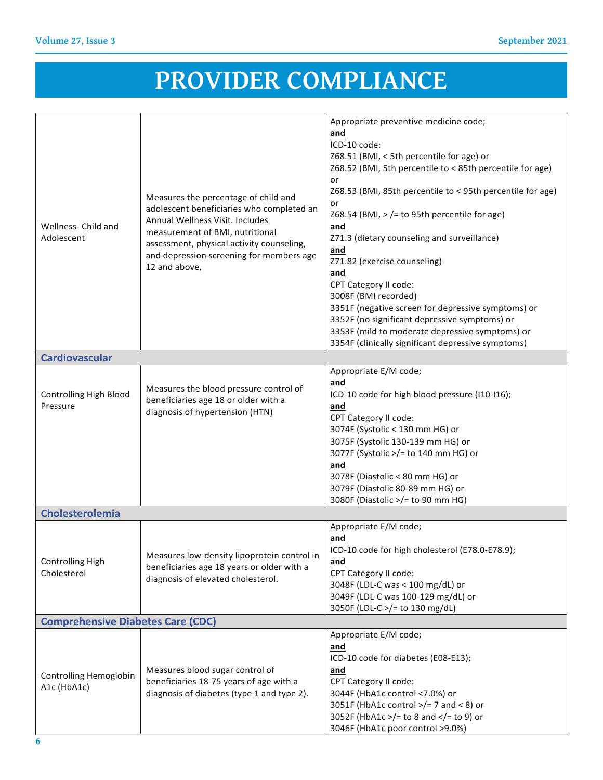$35515$   $\sim$   $10^{-10}$   $\sim$   $10^{-10}$   $\sim$   $10^{-10}$   $\sim$   $10^{-10}$   $\sim$ 

#### **PROVIDER COMPLIANCE**  $\sigma$  is a symptom of  $\sigma$  and  $\sigma$   $\sim$   $\sim$ significant depressive symptoms)

| Wellness- Child and<br>Adolescent         | Measures the percentage of child and<br>adolescent beneficiaries who completed an<br>Annual Wellness Visit. Includes<br>measurement of BMI, nutritional<br>assessment, physical activity counseling,<br>and depression screening for members age<br>12 and above, | Appropriate preventive medicine code;<br>and<br>ICD-10 code:<br>Z68.51 (BMI, < 5th percentile for age) or<br>Z68.52 (BMI, 5th percentile to < 85th percentile for age)<br>or<br>Z68.53 (BMI, 85th percentile to < 95th percentile for age)<br>or<br>Z68.54 (BMI, $>$ /= to 95th percentile for age)<br>and<br>Z71.3 (dietary counseling and surveillance)<br>and<br>Z71.82 (exercise counseling)<br>and<br>CPT Category II code:<br>3008F (BMI recorded)<br>3351F (negative screen for depressive symptoms) or<br>3352F (no significant depressive symptoms) or<br>3353F (mild to moderate depressive symptoms) or<br>3354F (clinically significant depressive symptoms) |
|-------------------------------------------|-------------------------------------------------------------------------------------------------------------------------------------------------------------------------------------------------------------------------------------------------------------------|--------------------------------------------------------------------------------------------------------------------------------------------------------------------------------------------------------------------------------------------------------------------------------------------------------------------------------------------------------------------------------------------------------------------------------------------------------------------------------------------------------------------------------------------------------------------------------------------------------------------------------------------------------------------------|
| <b>Cardiovascular</b>                     |                                                                                                                                                                                                                                                                   |                                                                                                                                                                                                                                                                                                                                                                                                                                                                                                                                                                                                                                                                          |
| <b>Controlling High Blood</b><br>Pressure | Measures the blood pressure control of<br>beneficiaries age 18 or older with a<br>diagnosis of hypertension (HTN)                                                                                                                                                 | Appropriate E/M code;<br>and<br>ICD-10 code for high blood pressure (I10-I16);<br>and<br>CPT Category II code:<br>3074F (Systolic < 130 mm HG) or<br>3075F (Systolic 130-139 mm HG) or<br>3077F (Systolic >/= to 140 mm HG) or<br>and<br>3078F (Diastolic < 80 mm HG) or<br>3079F (Diastolic 80-89 mm HG) or<br>3080F (Diastolic >/= to 90 mm HG)                                                                                                                                                                                                                                                                                                                        |
| <b>Cholesterolemia</b>                    |                                                                                                                                                                                                                                                                   |                                                                                                                                                                                                                                                                                                                                                                                                                                                                                                                                                                                                                                                                          |
| <b>Controlling High</b><br>Cholesterol    | Measures low-density lipoprotein control in<br>beneficiaries age 18 years or older with a<br>diagnosis of elevated cholesterol.                                                                                                                                   | Appropriate E/M code;<br>and<br>ICD-10 code for high cholesterol (E78.0-E78.9);<br>and<br>CPT Category II code:<br>3048F (LDL-C was < 100 mg/dL) or<br>3049F (LDL-C was 100-129 mg/dL) or<br>3050F (LDL-C >/= to 130 mg/dL)                                                                                                                                                                                                                                                                                                                                                                                                                                              |
| <b>Comprehensive Diabetes Care (CDC)</b>  |                                                                                                                                                                                                                                                                   |                                                                                                                                                                                                                                                                                                                                                                                                                                                                                                                                                                                                                                                                          |
| Controlling Hemoglobin<br>A1c (HbA1c)     | Measures blood sugar control of<br>beneficiaries 18-75 years of age with a<br>diagnosis of diabetes (type 1 and type 2).                                                                                                                                          | Appropriate E/M code;<br>and<br>ICD-10 code for diabetes (E08-E13);<br>and<br>CPT Category II code:<br>3044F (HbA1c control <7.0%) or<br>3051F (HbA1c control $>$ /= 7 and < 8) or<br>3052F (HbA1c >/= to 8 and = to 9) or<br 3046F (HbA1c poor control >9.0%)                                                                                                                                                                                                                                                                                                                                                                                                           |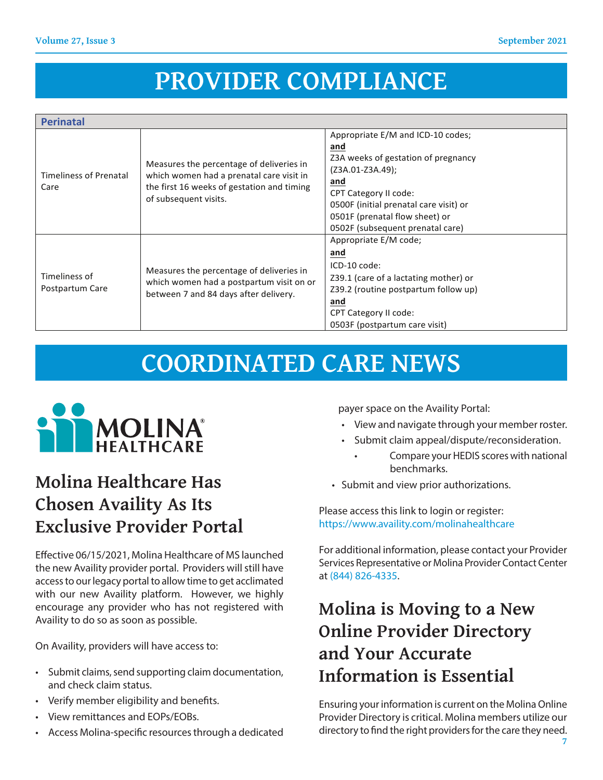Controlling Controlling Controlling Controlling Controlling

#### PROVIDER COMPLIANCE 71 FLIANCE  $\mathcal{S}(\mathcal{A})=\mathcal{S}(\mathcal{A})$  and  $\mathcal{S}(\mathcal{A})=\mathcal{S}(\mathcal{A})$  . The set of  $\mathcal{S}(\mathcal{A})$

**and** 

CPT Category II code:

 $\mathcal{M}(\mathcal{A})$  and  $\mathcal{M}(\mathcal{A})$  and  $\mathcal{M}(\mathcal{A})$  are sugarches to the sugarches of  $\mathcal{M}(\mathcal{A})$ beneficiaries in the control of the control of the control of the control of the control of the control of the

| <b>Perinatal</b>                      |                                                                                                                                                             |                                                                                                                                                                                                                                                            |
|---------------------------------------|-------------------------------------------------------------------------------------------------------------------------------------------------------------|------------------------------------------------------------------------------------------------------------------------------------------------------------------------------------------------------------------------------------------------------------|
| <b>Timeliness of Prenatal</b><br>Care | Measures the percentage of deliveries in<br>which women had a prenatal care visit in<br>the first 16 weeks of gestation and timing<br>of subsequent visits. | Appropriate E/M and ICD-10 codes;<br>and<br>Z3A weeks of gestation of pregnancy<br>(Z3A.01-Z3A.49);<br>and<br><b>CPT Category II code:</b><br>0500F (initial prenatal care visit) or<br>0501F (prenatal flow sheet) or<br>0502F (subsequent prenatal care) |
| Timeliness of<br>Postpartum Care      | Measures the percentage of deliveries in<br>which women had a postpartum visit on or<br>between 7 and 84 days after delivery.                               | Appropriate E/M code;<br>and<br>ICD-10 code:<br>Z39.1 (care of a lactating mother) or<br>Z39.2 (routine postpartum follow up)<br>and<br><b>CPT Category II code:</b><br>0503F (postpartum care visit)                                                      |

# **COORDINATED CARE NEWS**



### **Molina Healthcare Has Chosen Availity As Its Exclusive Provider Portal**

Effective 06/15/2021, Molina Healthcare of MS launched the new Availity provider portal. Providers will still have access to our legacy portal to allow time to get acclimated with our new Availity platform. However, we highly encourage any provider who has not registered with Availity to do so as soon as possible.

On Availity, providers will have access to:

- Submit claims, send supporting claim documentation, and check claim status.
- Verify member eligibility and benefits.
- View remittances and EOPs/EOBs.
- Access Molina-specific resources through a dedicated

payer space on the Availity Portal:

- View and navigate through your member roster.
- Submit claim appeal/dispute/reconsideration.
	- Compare your HEDIS scores with national benchmarks.
- Submit and view prior authorizations.

Please access this link to login or register: https://www.availity.com/molinahealthcare

For additional information, please contact your Provider Services Representative or Molina Provider Contact Center at (844) 826-4335.

## **Molina is Moving to a New Online Provider Directory and Your Accurate Information is Essential**

Ensuring your information is current on the Molina Online Provider Directory is critical. Molina members utilize our directory to find the right providers for the care they need.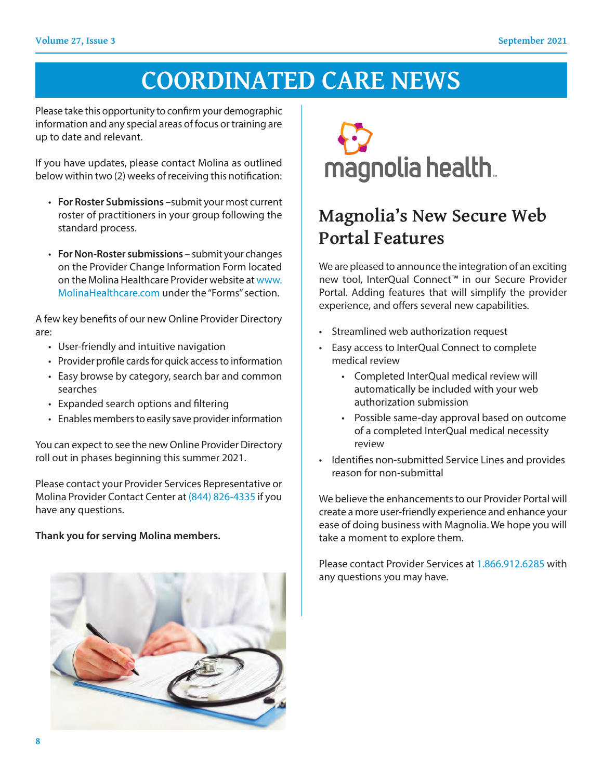# **COORDINATED CARE NEWS**

Please take this opportunity to confirm your demographic information and any special areas of focus or training are up to date and relevant.

If you have updates, please contact Molina as outlined below within two (2) weeks of receiving this notification:

- **For Roster Submissions** –submit your most current roster of practitioners in your group following the standard process.
- **For Non-Roster submissions** submit your changes on the Provider Change Information Form located on the Molina Healthcare Provider website at www. MolinaHealthcare.com under the "Forms" section.

A few key benefits of our new Online Provider Directory are:

- User-friendly and intuitive navigation
- Provider profile cards for quick access to information
- Easy browse by category, search bar and common searches
- Expanded search options and filtering
- Enables members to easily save provider information

You can expect to see the new Online Provider Directory roll out in phases beginning this summer 2021.

Please contact your Provider Services Representative or Molina Provider Contact Center at (844) 826-4335 if you have any questions.

#### **Thank you for serving Molina members.**





## **Magnolia's New Secure Web Portal Features**

We are pleased to announce the integration of an exciting new tool, InterQual Connect™ in our Secure Provider Portal. Adding features that will simplify the provider experience, and offers several new capabilities.

- Streamlined web authorization request
- Easy access to InterQual Connect to complete medical review
	- Completed InterQual medical review will automatically be included with your web authorization submission
	- Possible same-day approval based on outcome of a completed InterQual medical necessity review
- Identifies non-submitted Service Lines and provides reason for non-submittal

We believe the enhancements to our Provider Portal will create a more user-friendly experience and enhance your ease of doing business with Magnolia. We hope you will take a moment to explore them.

Please contact Provider Services at 1.866.912.6285 with any questions you may have.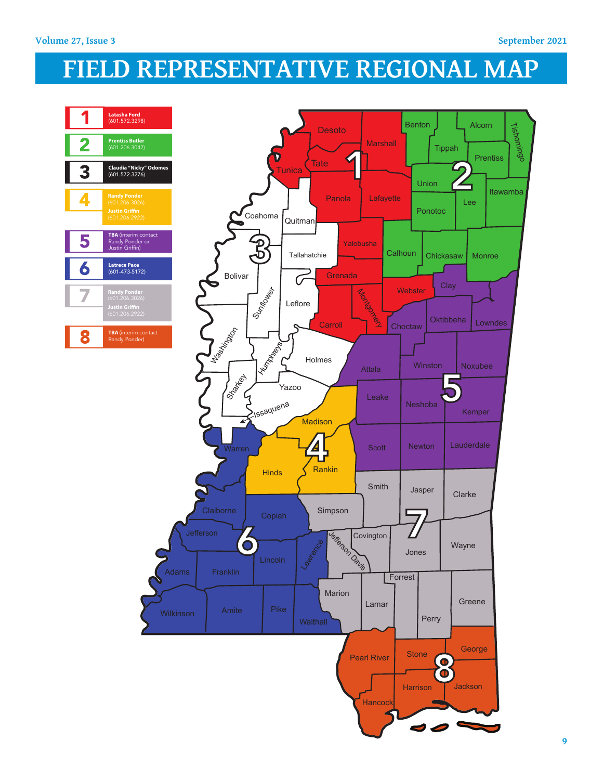# **FIELD REPRESENTATIVE REGIONAL MAP**

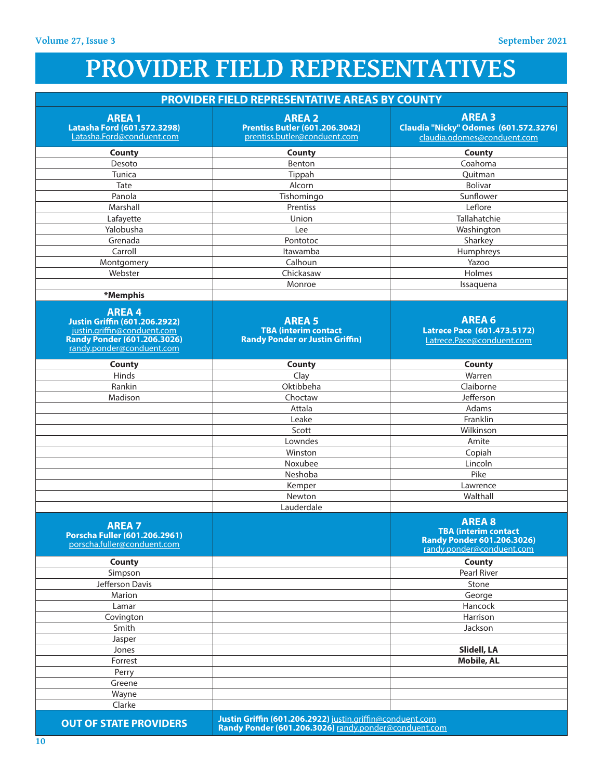# **PROVIDER FIELD REPRESENTATIVES**

### **PROVIDER FIELD REPRESENTATIVE AREAS BY COUNTY**

| <b>AREA1</b><br>Latasha Ford (601.572.3298)<br>Latasha.Ford@conduent.com                                                                               | <b>AREA 2</b><br><b>Prentiss Butler (601.206.3042)</b><br>prentiss.butler@conduent.com                             | <b>AREA 3</b><br>Claudia "Nicky" Odomes (601.572.3276)<br>claudia.odomes@conduent.com                   |
|--------------------------------------------------------------------------------------------------------------------------------------------------------|--------------------------------------------------------------------------------------------------------------------|---------------------------------------------------------------------------------------------------------|
| County                                                                                                                                                 | County                                                                                                             | <b>County</b>                                                                                           |
| Desoto                                                                                                                                                 | Benton                                                                                                             | Coahoma                                                                                                 |
| Tunica                                                                                                                                                 | Tippah                                                                                                             | Quitman                                                                                                 |
| Tate                                                                                                                                                   | Alcorn                                                                                                             | <b>Bolivar</b>                                                                                          |
| Panola                                                                                                                                                 | Tishomingo                                                                                                         | Sunflower                                                                                               |
| Marshall                                                                                                                                               | Prentiss                                                                                                           | Leflore                                                                                                 |
| Lafayette                                                                                                                                              | Union                                                                                                              | Tallahatchie                                                                                            |
| Yalobusha                                                                                                                                              | Lee                                                                                                                | Washington                                                                                              |
| Grenada                                                                                                                                                | Pontotoc                                                                                                           | Sharkey                                                                                                 |
| Carroll                                                                                                                                                | Itawamba                                                                                                           | Humphreys                                                                                               |
| Montgomery                                                                                                                                             | Calhoun                                                                                                            | Yazoo                                                                                                   |
| Webster                                                                                                                                                | Chickasaw                                                                                                          | Holmes                                                                                                  |
|                                                                                                                                                        | Monroe                                                                                                             | Issaquena                                                                                               |
| *Memphis                                                                                                                                               |                                                                                                                    |                                                                                                         |
| <b>AREA4</b><br><b>Justin Griffin (601.206.2922)</b><br>justin.griffin@conduent.com<br><b>Randy Ponder (601.206.3026)</b><br>randy.ponder@conduent.com | <b>AREA 5</b><br><b>TBA</b> (interim contact<br><b>Randy Ponder or Justin Griffin)</b>                             | <b>AREA 6</b><br>Latrece Pace (601.473.5172)<br>Latrece.Pace@conduent.com                               |
| County                                                                                                                                                 | <b>County</b>                                                                                                      | County                                                                                                  |
| Hinds                                                                                                                                                  | Clay                                                                                                               | Warren                                                                                                  |
| Rankin                                                                                                                                                 | Oktibbeha                                                                                                          | Claiborne                                                                                               |
| Madison                                                                                                                                                | Choctaw                                                                                                            | Jefferson                                                                                               |
|                                                                                                                                                        | Attala                                                                                                             | Adams                                                                                                   |
|                                                                                                                                                        | Leake                                                                                                              | Franklin                                                                                                |
|                                                                                                                                                        | Scott                                                                                                              | Wilkinson                                                                                               |
|                                                                                                                                                        | Lowndes                                                                                                            | Amite                                                                                                   |
|                                                                                                                                                        | Winston                                                                                                            | Copiah                                                                                                  |
|                                                                                                                                                        | Noxubee                                                                                                            | Lincoln                                                                                                 |
|                                                                                                                                                        | Neshoba                                                                                                            | Pike                                                                                                    |
|                                                                                                                                                        | Kemper                                                                                                             | Lawrence                                                                                                |
|                                                                                                                                                        | Newton                                                                                                             | Walthall                                                                                                |
|                                                                                                                                                        | Lauderdale                                                                                                         |                                                                                                         |
| <b>AREA 7</b><br>Porscha Fuller (601.206.2961)<br>porscha.fuller@conduent.com                                                                          |                                                                                                                    | <b>AREA 8</b><br><b>TBA (interim contact</b><br>Randy Ponder 601.206.3026)<br>randy.ponder@conduent.com |
| <b>County</b>                                                                                                                                          |                                                                                                                    | <b>County</b>                                                                                           |
| Simpson                                                                                                                                                |                                                                                                                    | Pearl River                                                                                             |
| Jefferson Davis                                                                                                                                        |                                                                                                                    | Stone                                                                                                   |
| Marion                                                                                                                                                 |                                                                                                                    | George                                                                                                  |
| Lamar                                                                                                                                                  |                                                                                                                    | Hancock                                                                                                 |
| Covington                                                                                                                                              |                                                                                                                    | Harrison                                                                                                |
| Smith                                                                                                                                                  |                                                                                                                    | Jackson                                                                                                 |
| Jasper                                                                                                                                                 |                                                                                                                    |                                                                                                         |
| Jones                                                                                                                                                  |                                                                                                                    | Slidell, LA                                                                                             |
| Forrest                                                                                                                                                |                                                                                                                    | <b>Mobile, AL</b>                                                                                       |
| Perry                                                                                                                                                  |                                                                                                                    |                                                                                                         |
| Greene                                                                                                                                                 |                                                                                                                    |                                                                                                         |
| Wayne                                                                                                                                                  |                                                                                                                    |                                                                                                         |
| Clarke                                                                                                                                                 |                                                                                                                    |                                                                                                         |
| <b>OUT OF STATE PROVIDERS</b>                                                                                                                          | Justin Griffin (601.206.2922) justin.griffin@conduent.com<br>Randy Ponder (601.206.3026) randy.ponder@conduent.com |                                                                                                         |